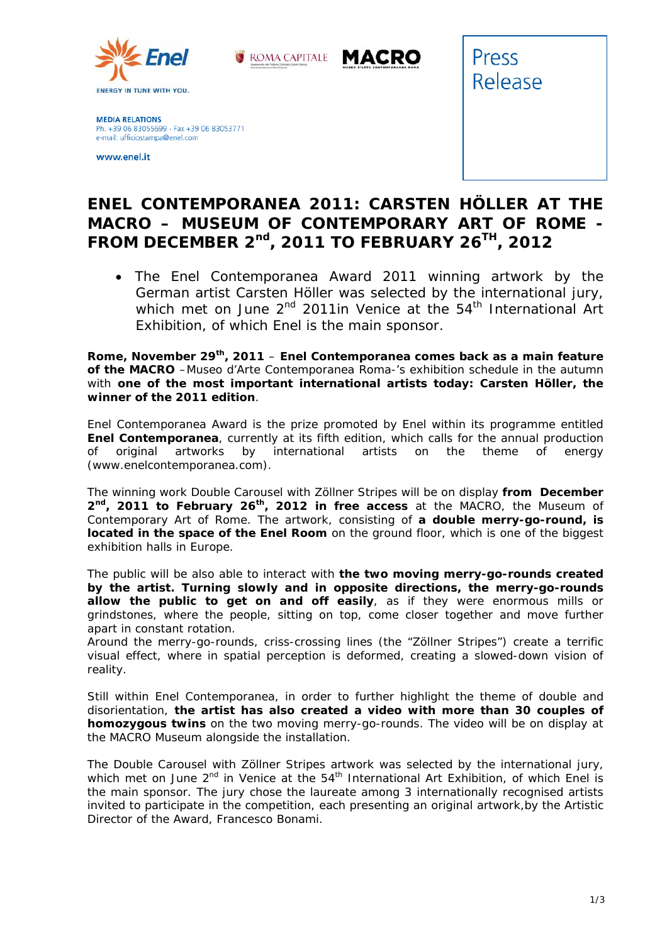



**MEDIA RELATIONS** Ph. +39 06 83055699 - Fax +39 06 83053771 e-mail: ufficiostampa@enel.com

www.enel.it



## **ENEL CONTEMPORANEA 2011: CARSTEN HÖLLER AT THE MACRO – MUSEUM OF CONTEMPORARY ART OF ROME - FROM DECEMBER 2nd, 2011 TO FEBRUARY 26TH, 2012**

 *The Enel Contemporanea Award 2011 winning artwork by the German artist Carsten Höller was selected by the international jury, which met on June 2nd 2011in Venice at the 54th International Art Exhibition, of which Enel is the main sponsor.* 

**Rome, November 29th, 2011** – **Enel Contemporanea comes back as a main feature of the MACRO** –Museo d'Arte Contemporanea Roma-'s exhibition schedule in the autumn with **one of the most important international artists today: Carsten Höller, the winner of the 2011 edition**.

Enel Contemporanea Award is the prize promoted by Enel within its programme entitled **Enel Contemporanea**, currently at its fifth edition, which calls for the annual production of original artworks by international artists on the theme of energy (www.enelcontemporanea.com).

The winning work *Double Carousel with Zöllner Stripes* will be on display **from December 2nd, 2011 to February 26th, 2012 in free access** at the MACRO, the Museum of Contemporary Art of Rome. The artwork, consisting of **a double merry-go-round, is located in the space of the Enel Room** on the ground floor, which is one of the biggest exhibition halls in Europe.

The public will be also able to interact with **the two moving merry-go-rounds created by the artist. Turning slowly and in opposite directions, the merry-go-rounds allow the public to get on and off easily**, as if they were enormous mills or grindstones, where the people, sitting on top, come closer together and move further apart in constant rotation.

Around the merry-go-rounds, criss-crossing lines (the "*Zöllner Stripes"*) create a terrific visual effect, where in spatial perception is deformed, creating a slowed-down vision of reality.

Still within Enel Contemporanea, in order to further highlight the theme of double and disorientation, **the artist has also created a video with more than 30 couples of homozygous twins** on the two moving merry-go-rounds. The video will be on display at the MACRO Museum alongside the installation.

The *Double Carousel with Zöllner Stripes* artwork was selected by the international jury, which met on June  $2^{nd}$  in Venice at the  $54<sup>th</sup>$  International Art Exhibition, of which Enel is the main sponsor. The jury chose the laureate among 3 internationally recognised artists invited to participate in the competition, each presenting an original artwork,by the Artistic Director of the Award, Francesco Bonami.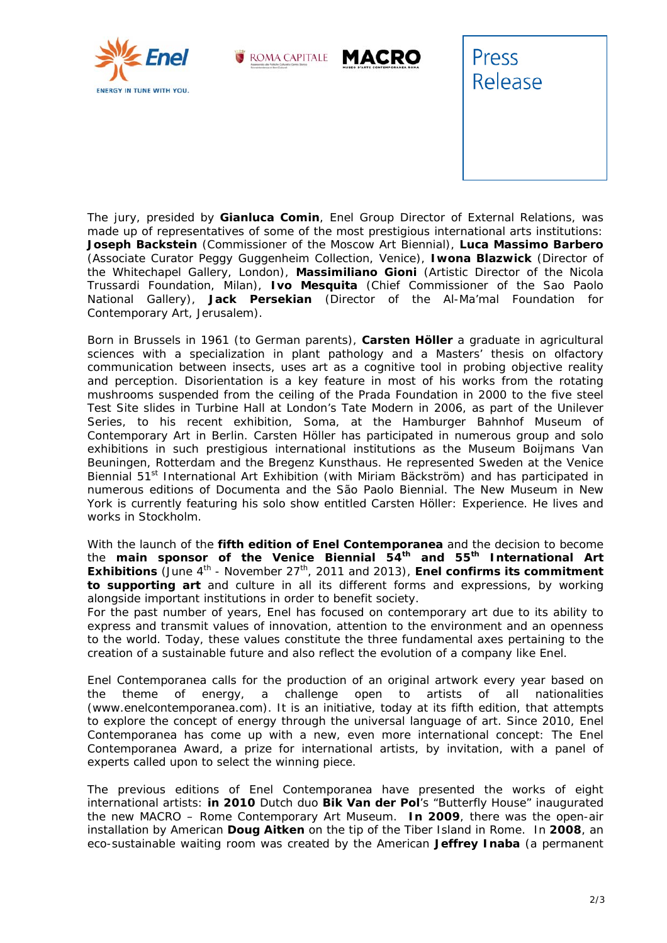







The jury, presided by **Gianluca Comin**, Enel Group Director of External Relations, was made up of representatives of some of the most prestigious international arts institutions: **Joseph Backstein** (Commissioner of the Moscow Art Biennial), **Luca Massimo Barbero** (Associate Curator Peggy Guggenheim Collection, Venice), **Iwona Blazwick** (Director of the Whitechapel Gallery, London), **Massimiliano Gioni** (Artistic Director of the Nicola Trussardi Foundation, Milan), **Ivo Mesquita** (Chief Commissioner of the Sao Paolo National Gallery), **Jack Persekian** (Director of the Al-Ma'mal Foundation for Contemporary Art, Jerusalem).

*Born in Brussels in 1961 (to German parents), Carsten Höller a graduate in agricultural sciences with a specialization in plant pathology and a Masters' thesis on olfactory communication between insects, uses art as a cognitive tool in probing objective reality and perception. Disorientation is a key feature in most of his works from the rotating mushrooms suspended from the ceiling of the Prada Foundation in 2000 to the five steel Test Site slides in Turbine Hall at London's Tate Modern in 2006, as part of the Unilever Series, to his recent exhibition, Soma, at the Hamburger Bahnhof Museum of Contemporary Art in Berlin. Carsten Höller has participated in numerous group and solo exhibitions in such prestigious international institutions as the Museum Boijmans Van Beuningen, Rotterdam and the Bregenz Kunsthaus. He represented Sweden at the Venice Biennial 51st International Art Exhibition (with Miriam Bäckström) and has participated in numerous editions of Documenta and the São Paolo Biennial. The New Museum in New York is currently featuring his solo show entitled Carsten Höller: Experience. He lives and works in Stockholm*.

With the launch of the **fifth edition of Enel Contemporanea** and the decision to become the **main sponsor of the Venice Biennial 54th and 55th International Art Exhibitions** (June 4<sup>th</sup> - November 27<sup>th</sup>, 2011 and 2013), **Enel confirms its commitment to supporting art** and culture in all its different forms and expressions, by working alongside important institutions in order to benefit society.

For the past number of years, Enel has focused on contemporary art due to its ability to express and transmit values of innovation, attention to the environment and an openness to the world. Today, these values constitute the three fundamental axes pertaining to the creation of a sustainable future and also reflect the evolution of a company like Enel*.* 

*Enel Contemporanea calls for the production of an original artwork every year based on the theme of energy, a challenge open to artists of all nationalities (www.enelcontemporanea.com). It is an initiative, today at its fifth edition, that attempts*  to explore the concept of energy through the universal language of art. Since 2010, Enel *Contemporanea has come up with a new, even more international concept: The Enel Contemporanea Award, a prize for international artists, by invitation, with a panel of experts called upon to select the winning piece*.

*The previous editions of Enel Contemporanea have presented the works of eight international artists: in 2010 Dutch duo Bik Van der Pol's "Butterfly House" inaugurated the new MACRO – Rome Contemporary Art Museum. In 2009, there was the open-air installation by American Doug Aitken on the tip of the Tiber Island in Rome. In 2008, an eco-sustainable waiting room was created by the American Jeffrey Inaba (a permanent*